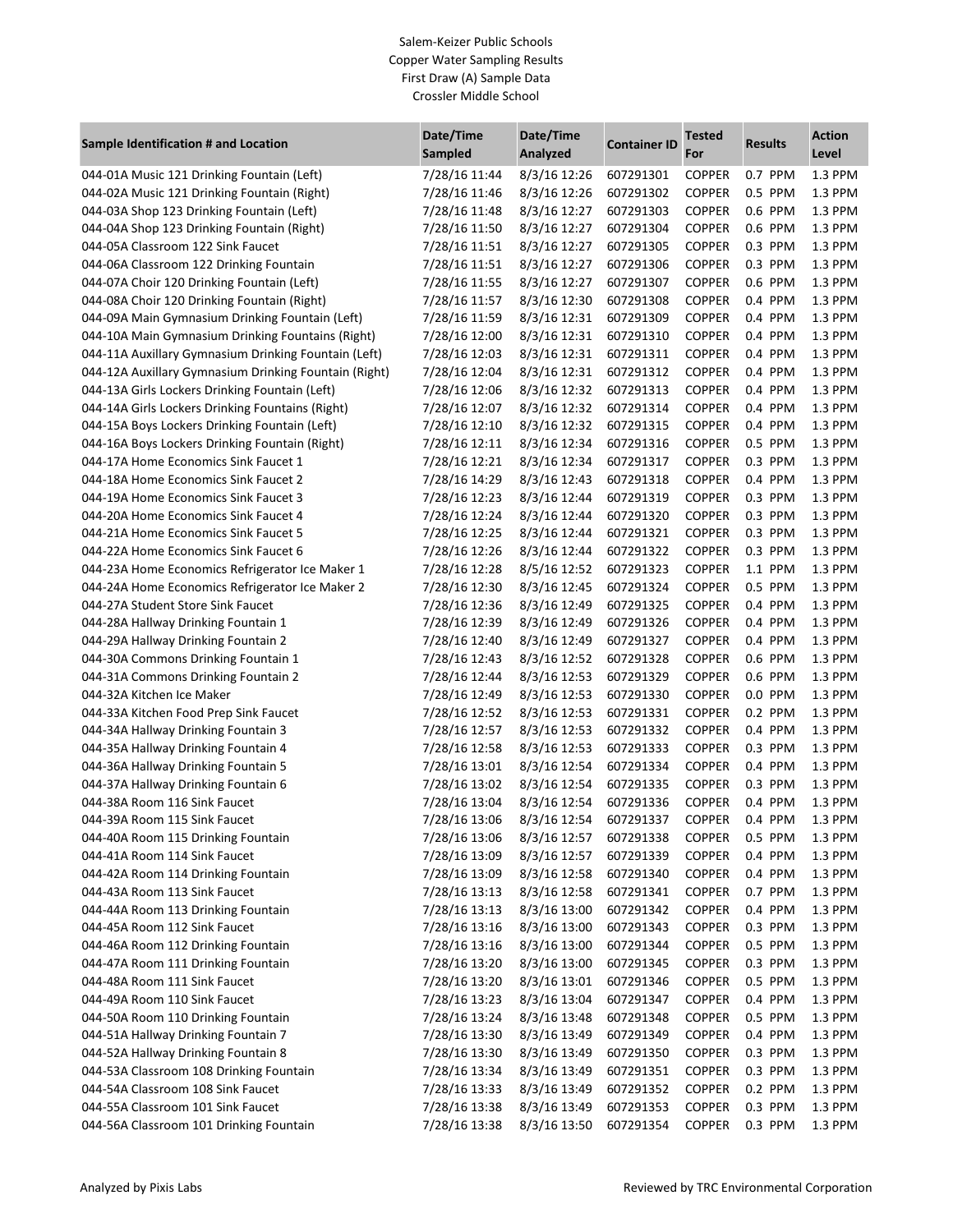## Salem-Keizer Public Schools Copper Water Sampling Results First Draw (A) Sample Data Crossler Middle School

| Sample Identification # and Location                  | Date/Time<br><b>Sampled</b> | Date/Time<br>Analyzed  | <b>Container ID</b> | <b>Tested</b><br>For | <b>Results</b> | <b>Action</b><br>Level |
|-------------------------------------------------------|-----------------------------|------------------------|---------------------|----------------------|----------------|------------------------|
| 044-01A Music 121 Drinking Fountain (Left)            | 7/28/16 11:44               | 8/3/16 12:26           | 607291301           | <b>COPPER</b>        | 0.7 PPM        | 1.3 PPM                |
| 044-02A Music 121 Drinking Fountain (Right)           | 7/28/16 11:46               | 8/3/16 12:26           | 607291302           | <b>COPPER</b>        | 0.5 PPM        | 1.3 PPM                |
| 044-03A Shop 123 Drinking Fountain (Left)             | 7/28/16 11:48               | 8/3/16 12:27           | 607291303           | <b>COPPER</b>        | 0.6 PPM        | 1.3 PPM                |
| 044-04A Shop 123 Drinking Fountain (Right)            | 7/28/16 11:50               | 8/3/16 12:27           | 607291304           | <b>COPPER</b>        | 0.6 PPM        | 1.3 PPM                |
| 044-05A Classroom 122 Sink Faucet                     | 7/28/16 11:51               | 8/3/16 12:27           | 607291305           | <b>COPPER</b>        | 0.3 PPM        | 1.3 PPM                |
| 044-06A Classroom 122 Drinking Fountain               | 7/28/16 11:51               | 8/3/16 12:27           | 607291306           | <b>COPPER</b>        | 0.3 PPM        | 1.3 PPM                |
| 044-07A Choir 120 Drinking Fountain (Left)            | 7/28/16 11:55               | 8/3/16 12:27           | 607291307           | <b>COPPER</b>        | 0.6 PPM        | 1.3 PPM                |
| 044-08A Choir 120 Drinking Fountain (Right)           | 7/28/16 11:57               | 8/3/16 12:30           | 607291308           | <b>COPPER</b>        | 0.4 PPM        | 1.3 PPM                |
| 044-09A Main Gymnasium Drinking Fountain (Left)       | 7/28/16 11:59               | 8/3/16 12:31           | 607291309           | <b>COPPER</b>        | 0.4 PPM        | 1.3 PPM                |
| 044-10A Main Gymnasium Drinking Fountains (Right)     | 7/28/16 12:00               | 8/3/16 12:31           | 607291310           | <b>COPPER</b>        | 0.4 PPM        | 1.3 PPM                |
| 044-11A Auxillary Gymnasium Drinking Fountain (Left)  | 7/28/16 12:03               | 8/3/16 12:31           | 607291311           | <b>COPPER</b>        | 0.4 PPM        | 1.3 PPM                |
| 044-12A Auxillary Gymnasium Drinking Fountain (Right) | 7/28/16 12:04               | 8/3/16 12:31           | 607291312           | <b>COPPER</b>        | 0.4 PPM        | 1.3 PPM                |
| 044-13A Girls Lockers Drinking Fountain (Left)        | 7/28/16 12:06               | 8/3/16 12:32           | 607291313           | <b>COPPER</b>        | 0.4 PPM        | 1.3 PPM                |
| 044-14A Girls Lockers Drinking Fountains (Right)      | 7/28/16 12:07               | 8/3/16 12:32           | 607291314           | <b>COPPER</b>        | 0.4 PPM        | 1.3 PPM                |
| 044-15A Boys Lockers Drinking Fountain (Left)         | 7/28/16 12:10               | 8/3/16 12:32           | 607291315           | <b>COPPER</b>        | 0.4 PPM        | 1.3 PPM                |
| 044-16A Boys Lockers Drinking Fountain (Right)        | 7/28/16 12:11               | 8/3/16 12:34           | 607291316           | <b>COPPER</b>        | 0.5 PPM        | 1.3 PPM                |
| 044-17A Home Economics Sink Faucet 1                  | 7/28/16 12:21               | 8/3/16 12:34           | 607291317           | <b>COPPER</b>        | 0.3 PPM        | 1.3 PPM                |
| 044-18A Home Economics Sink Faucet 2                  | 7/28/16 14:29               | 8/3/16 12:43           | 607291318           | <b>COPPER</b>        | 0.4 PPM        | 1.3 PPM                |
| 044-19A Home Economics Sink Faucet 3                  | 7/28/16 12:23               | 8/3/16 12:44           | 607291319           | <b>COPPER</b>        | 0.3 PPM        | 1.3 PPM                |
| 044-20A Home Economics Sink Faucet 4                  | 7/28/16 12:24               | 8/3/16 12:44           | 607291320           | <b>COPPER</b>        | 0.3 PPM        | 1.3 PPM                |
| 044-21A Home Economics Sink Faucet 5                  | 7/28/16 12:25               | 8/3/16 12:44           | 607291321           | <b>COPPER</b>        | 0.3 PPM        | 1.3 PPM                |
| 044-22A Home Economics Sink Faucet 6                  | 7/28/16 12:26               | 8/3/16 12:44           | 607291322           | <b>COPPER</b>        | 0.3 PPM        | 1.3 PPM                |
| 044-23A Home Economics Refrigerator Ice Maker 1       | 7/28/16 12:28               | 8/5/16 12:52           | 607291323           | <b>COPPER</b>        | 1.1 PPM        | 1.3 PPM                |
| 044-24A Home Economics Refrigerator Ice Maker 2       | 7/28/16 12:30               | 8/3/16 12:45           | 607291324           | <b>COPPER</b>        | 0.5 PPM        | 1.3 PPM                |
| 044-27A Student Store Sink Faucet                     | 7/28/16 12:36               | 8/3/16 12:49           | 607291325           | <b>COPPER</b>        | 0.4 PPM        | 1.3 PPM                |
| 044-28A Hallway Drinking Fountain 1                   | 7/28/16 12:39               | 8/3/16 12:49           | 607291326           | <b>COPPER</b>        | 0.4 PPM        | 1.3 PPM                |
| 044-29A Hallway Drinking Fountain 2                   | 7/28/16 12:40               | 8/3/16 12:49           | 607291327           | <b>COPPER</b>        | 0.4 PPM        | 1.3 PPM                |
| 044-30A Commons Drinking Fountain 1                   | 7/28/16 12:43               | 8/3/16 12:52           | 607291328           | <b>COPPER</b>        | 0.6 PPM        | 1.3 PPM                |
| 044-31A Commons Drinking Fountain 2                   | 7/28/16 12:44               | 8/3/16 12:53           | 607291329           | <b>COPPER</b>        | 0.6 PPM        | 1.3 PPM                |
| 044-32A Kitchen Ice Maker                             | 7/28/16 12:49               | 8/3/16 12:53           | 607291330           | <b>COPPER</b>        | 0.0 PPM        | 1.3 PPM                |
| 044-33A Kitchen Food Prep Sink Faucet                 | 7/28/16 12:52               | 8/3/16 12:53           | 607291331           | <b>COPPER</b>        | 0.2 PPM        | 1.3 PPM                |
| 044-34A Hallway Drinking Fountain 3                   | 7/28/16 12:57               | 8/3/16 12:53           | 607291332           | <b>COPPER</b>        | 0.4 PPM        | 1.3 PPM                |
| 044-35A Hallway Drinking Fountain 4                   | 7/28/16 12:58               | 8/3/16 12:53           | 607291333           | <b>COPPER</b>        | 0.3 PPM        | 1.3 PPM                |
| 044-36A Hallway Drinking Fountain 5                   | 7/28/16 13:01               | 8/3/16 12:54           | 607291334           | <b>COPPER</b>        | 0.4 PPM        | 1.3 PPM                |
| 044-37A Hallway Drinking Fountain 6                   | 7/28/16 13:02               | 8/3/16 12:54           | 607291335           | <b>COPPER</b>        | 0.3 PPM        | 1.3 PPM                |
| 044-38A Room 116 Sink Faucet                          | 7/28/16 13:04               | 8/3/16 12:54           | 607291336           | <b>COPPER</b>        | 0.4 PPM        | 1.3 PPM                |
| 044-39A Room 115 Sink Faucet                          | 7/28/16 13:06               | 8/3/16 12:54 607291337 |                     | COPPER               | 0.4 PPM        | $1.3$ PPM              |
| 044-40A Room 115 Drinking Fountain                    | 7/28/16 13:06               | 8/3/16 12:57           | 607291338           | <b>COPPER</b>        | 0.5 PPM        | 1.3 PPM                |
| 044-41A Room 114 Sink Faucet                          | 7/28/16 13:09               | 8/3/16 12:57           | 607291339           | <b>COPPER</b>        | 0.4 PPM        | 1.3 PPM                |
| 044-42A Room 114 Drinking Fountain                    | 7/28/16 13:09               | 8/3/16 12:58           | 607291340           | <b>COPPER</b>        | 0.4 PPM        | 1.3 PPM                |
| 044-43A Room 113 Sink Faucet                          | 7/28/16 13:13               | 8/3/16 12:58           | 607291341           | <b>COPPER</b>        | 0.7 PPM        | 1.3 PPM                |
| 044-44A Room 113 Drinking Fountain                    | 7/28/16 13:13               | 8/3/16 13:00           | 607291342           | <b>COPPER</b>        | 0.4 PPM        | 1.3 PPM                |
| 044-45A Room 112 Sink Faucet                          | 7/28/16 13:16               | 8/3/16 13:00           | 607291343           | <b>COPPER</b>        | 0.3 PPM        | 1.3 PPM                |
| 044-46A Room 112 Drinking Fountain                    | 7/28/16 13:16               | 8/3/16 13:00           | 607291344           | <b>COPPER</b>        | 0.5 PPM        | 1.3 PPM                |
| 044-47A Room 111 Drinking Fountain                    | 7/28/16 13:20               | 8/3/16 13:00           | 607291345           | <b>COPPER</b>        | 0.3 PPM        | 1.3 PPM                |
| 044-48A Room 111 Sink Faucet                          | 7/28/16 13:20               | 8/3/16 13:01           | 607291346           | <b>COPPER</b>        | 0.5 PPM        | 1.3 PPM                |
| 044-49A Room 110 Sink Faucet                          | 7/28/16 13:23               | 8/3/16 13:04           | 607291347           | <b>COPPER</b>        | 0.4 PPM        | 1.3 PPM                |
| 044-50A Room 110 Drinking Fountain                    | 7/28/16 13:24               | 8/3/16 13:48           | 607291348           | <b>COPPER</b>        | 0.5 PPM        | 1.3 PPM                |
| 044-51A Hallway Drinking Fountain 7                   | 7/28/16 13:30               | 8/3/16 13:49           | 607291349           | <b>COPPER</b>        | 0.4 PPM        | 1.3 PPM                |
| 044-52A Hallway Drinking Fountain 8                   | 7/28/16 13:30               | 8/3/16 13:49           | 607291350           | <b>COPPER</b>        | 0.3 PPM        | 1.3 PPM                |
| 044-53A Classroom 108 Drinking Fountain               | 7/28/16 13:34               | 8/3/16 13:49           | 607291351           | <b>COPPER</b>        | 0.3 PPM        | 1.3 PPM                |
| 044-54A Classroom 108 Sink Faucet                     | 7/28/16 13:33               | 8/3/16 13:49           | 607291352           | <b>COPPER</b>        | 0.2 PPM        | 1.3 PPM                |
| 044-55A Classroom 101 Sink Faucet                     | 7/28/16 13:38               | 8/3/16 13:49           | 607291353           | <b>COPPER</b>        | 0.3 PPM        | 1.3 PPM                |
| 044-56A Classroom 101 Drinking Fountain               | 7/28/16 13:38               | 8/3/16 13:50           | 607291354           | <b>COPPER</b>        | 0.3 PPM        | 1.3 PPM                |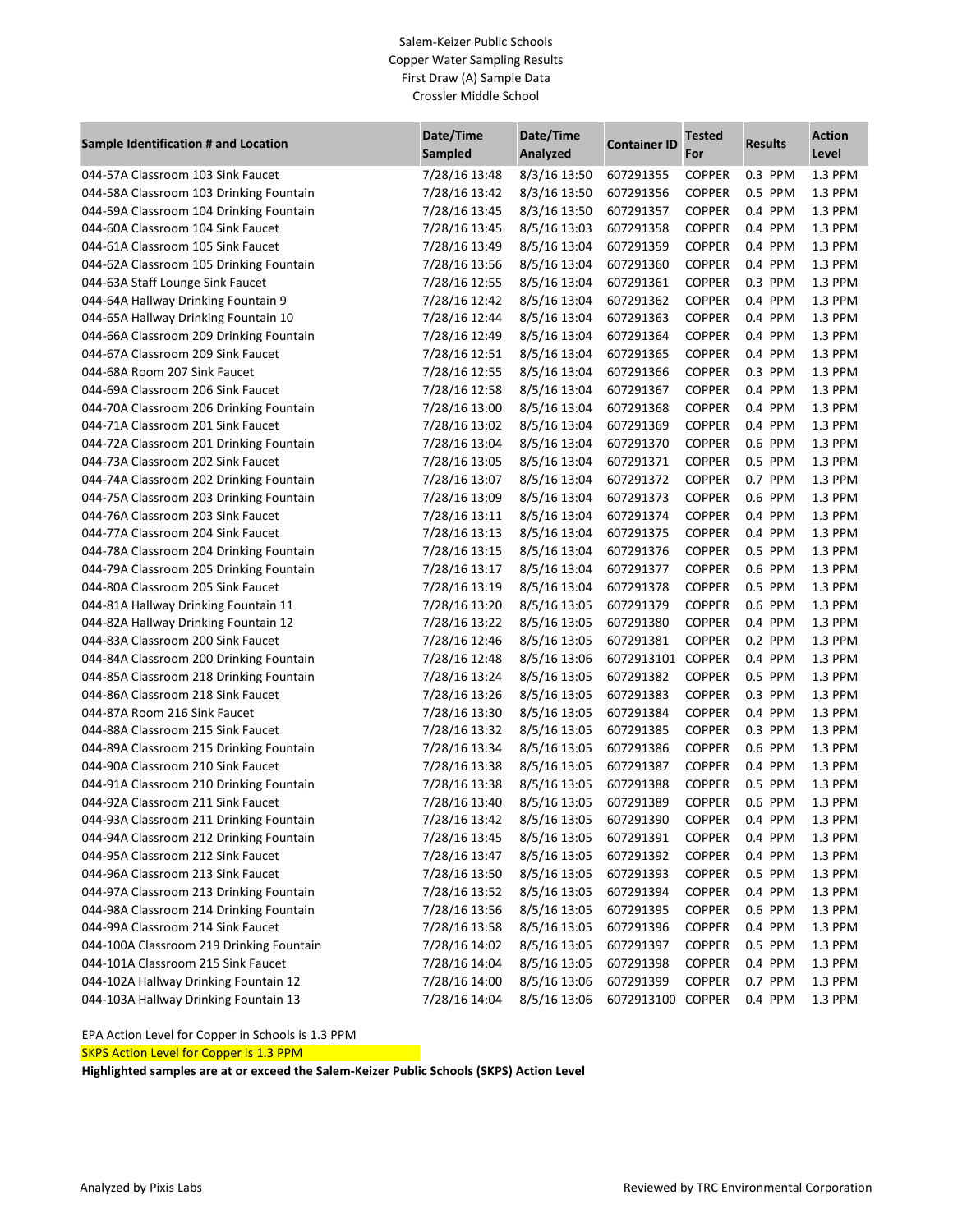#### Salem-Keizer Public Schools Copper Water Sampling Results First Draw (A) Sample Data Crossler Middle School

| Sample Identification # and Location     | Date/Time<br><b>Sampled</b> | Date/Time<br>Analyzed  | <b>Container ID</b> | <b>Tested</b><br>For | <b>Results</b> | <b>Action</b><br>Level |
|------------------------------------------|-----------------------------|------------------------|---------------------|----------------------|----------------|------------------------|
| 044-57A Classroom 103 Sink Faucet        | 7/28/16 13:48               | 8/3/16 13:50           | 607291355           | <b>COPPER</b>        | 0.3 PPM        | 1.3 PPM                |
| 044-58A Classroom 103 Drinking Fountain  | 7/28/16 13:42               | 8/3/16 13:50           | 607291356           | <b>COPPER</b>        | 0.5 PPM        | 1.3 PPM                |
| 044-59A Classroom 104 Drinking Fountain  | 7/28/16 13:45               | 8/3/16 13:50           | 607291357           | <b>COPPER</b>        | 0.4 PPM        | 1.3 PPM                |
| 044-60A Classroom 104 Sink Faucet        | 7/28/16 13:45               | 8/5/16 13:03           | 607291358           | <b>COPPER</b>        | 0.4 PPM        | 1.3 PPM                |
| 044-61A Classroom 105 Sink Faucet        | 7/28/16 13:49               | 8/5/16 13:04           | 607291359           | <b>COPPER</b>        | 0.4 PPM        | 1.3 PPM                |
| 044-62A Classroom 105 Drinking Fountain  | 7/28/16 13:56               | 8/5/16 13:04           | 607291360           | <b>COPPER</b>        | 0.4 PPM        | 1.3 PPM                |
| 044-63A Staff Lounge Sink Faucet         | 7/28/16 12:55               | 8/5/16 13:04           | 607291361           | <b>COPPER</b>        | 0.3 PPM        | 1.3 PPM                |
| 044-64A Hallway Drinking Fountain 9      | 7/28/16 12:42               | 8/5/16 13:04           | 607291362           | <b>COPPER</b>        | 0.4 PPM        | 1.3 PPM                |
| 044-65A Hallway Drinking Fountain 10     | 7/28/16 12:44               | 8/5/16 13:04           | 607291363           | <b>COPPER</b>        | 0.4 PPM        | 1.3 PPM                |
| 044-66A Classroom 209 Drinking Fountain  | 7/28/16 12:49               | 8/5/16 13:04           | 607291364           | <b>COPPER</b>        | 0.4 PPM        | 1.3 PPM                |
| 044-67A Classroom 209 Sink Faucet        | 7/28/16 12:51               | 8/5/16 13:04           | 607291365           | <b>COPPER</b>        | 0.4 PPM        | 1.3 PPM                |
| 044-68A Room 207 Sink Faucet             | 7/28/16 12:55               | 8/5/16 13:04           | 607291366           | <b>COPPER</b>        | 0.3 PPM        | 1.3 PPM                |
| 044-69A Classroom 206 Sink Faucet        | 7/28/16 12:58               | 8/5/16 13:04           | 607291367           | <b>COPPER</b>        | 0.4 PPM        | 1.3 PPM                |
| 044-70A Classroom 206 Drinking Fountain  | 7/28/16 13:00               | 8/5/16 13:04           | 607291368           | <b>COPPER</b>        | 0.4 PPM        | 1.3 PPM                |
| 044-71A Classroom 201 Sink Faucet        | 7/28/16 13:02               | 8/5/16 13:04           | 607291369           | <b>COPPER</b>        | 0.4 PPM        | 1.3 PPM                |
| 044-72A Classroom 201 Drinking Fountain  | 7/28/16 13:04               | 8/5/16 13:04           | 607291370           | <b>COPPER</b>        | 0.6 PPM        | 1.3 PPM                |
| 044-73A Classroom 202 Sink Faucet        | 7/28/16 13:05               | 8/5/16 13:04           | 607291371           | <b>COPPER</b>        | 0.5 PPM        | 1.3 PPM                |
| 044-74A Classroom 202 Drinking Fountain  | 7/28/16 13:07               | 8/5/16 13:04           | 607291372           | <b>COPPER</b>        | 0.7 PPM        | 1.3 PPM                |
| 044-75A Classroom 203 Drinking Fountain  | 7/28/16 13:09               | 8/5/16 13:04           | 607291373           | <b>COPPER</b>        | 0.6 PPM        | 1.3 PPM                |
| 044-76A Classroom 203 Sink Faucet        | 7/28/16 13:11               | 8/5/16 13:04           | 607291374           | <b>COPPER</b>        | 0.4 PPM        | 1.3 PPM                |
| 044-77A Classroom 204 Sink Faucet        | 7/28/16 13:13               | 8/5/16 13:04           | 607291375           | <b>COPPER</b>        | 0.4 PPM        | 1.3 PPM                |
| 044-78A Classroom 204 Drinking Fountain  | 7/28/16 13:15               | 8/5/16 13:04           | 607291376           | <b>COPPER</b>        | 0.5 PPM        | 1.3 PPM                |
| 044-79A Classroom 205 Drinking Fountain  | 7/28/16 13:17               | 8/5/16 13:04           | 607291377           | <b>COPPER</b>        | 0.6 PPM        | 1.3 PPM                |
| 044-80A Classroom 205 Sink Faucet        | 7/28/16 13:19               | 8/5/16 13:04           | 607291378           | <b>COPPER</b>        | 0.5 PPM        | 1.3 PPM                |
| 044-81A Hallway Drinking Fountain 11     | 7/28/16 13:20               | 8/5/16 13:05           | 607291379           | <b>COPPER</b>        | 0.6 PPM        | 1.3 PPM                |
| 044-82A Hallway Drinking Fountain 12     | 7/28/16 13:22               | 8/5/16 13:05           | 607291380           | <b>COPPER</b>        | 0.4 PPM        | 1.3 PPM                |
| 044-83A Classroom 200 Sink Faucet        | 7/28/16 12:46               | 8/5/16 13:05           | 607291381           | <b>COPPER</b>        | 0.2 PPM        | 1.3 PPM                |
| 044-84A Classroom 200 Drinking Fountain  | 7/28/16 12:48               | 8/5/16 13:06           | 6072913101 COPPER   |                      | 0.4 PPM        | 1.3 PPM                |
| 044-85A Classroom 218 Drinking Fountain  | 7/28/16 13:24               | 8/5/16 13:05           | 607291382           | <b>COPPER</b>        | 0.5 PPM        | 1.3 PPM                |
| 044-86A Classroom 218 Sink Faucet        | 7/28/16 13:26               | 8/5/16 13:05           | 607291383           | <b>COPPER</b>        | 0.3 PPM        | 1.3 PPM                |
| 044-87A Room 216 Sink Faucet             | 7/28/16 13:30               | 8/5/16 13:05           | 607291384           | <b>COPPER</b>        | 0.4 PPM        | 1.3 PPM                |
| 044-88A Classroom 215 Sink Faucet        | 7/28/16 13:32               | 8/5/16 13:05           | 607291385           | <b>COPPER</b>        | 0.3 PPM        | 1.3 PPM                |
| 044-89A Classroom 215 Drinking Fountain  | 7/28/16 13:34               | 8/5/16 13:05           | 607291386           | <b>COPPER</b>        | 0.6 PPM        | 1.3 PPM                |
| 044-90A Classroom 210 Sink Faucet        | 7/28/16 13:38               | 8/5/16 13:05           | 607291387           | <b>COPPER</b>        | 0.4 PPM        | 1.3 PPM                |
| 044-91A Classroom 210 Drinking Fountain  | 7/28/16 13:38               | 8/5/16 13:05           | 607291388           | <b>COPPER</b>        | 0.5 PPM        | 1.3 PPM                |
| 044-92A Classroom 211 Sink Faucet        | 7/28/16 13:40               | 8/5/16 13:05           | 607291389           | <b>COPPER</b>        | 0.6 PPM        | 1.3 PPM                |
| 044-93A Classroom 211 Drinking Fountain  | 7/28/16 13:42               | 8/5/16 13:05 607291390 |                     | COPPER               | 0.4 PPM        | 1.3 PPM                |
| 044-94A Classroom 212 Drinking Fountain  | 7/28/16 13:45               | 8/5/16 13:05           | 607291391           | <b>COPPER</b>        | 0.4 PPM        | 1.3 PPM                |
| 044-95A Classroom 212 Sink Faucet        | 7/28/16 13:47               | 8/5/16 13:05           | 607291392           | <b>COPPER</b>        | 0.4 PPM        | 1.3 PPM                |
| 044-96A Classroom 213 Sink Faucet        | 7/28/16 13:50               | 8/5/16 13:05           | 607291393           | <b>COPPER</b>        | 0.5 PPM        | 1.3 PPM                |
| 044-97A Classroom 213 Drinking Fountain  | 7/28/16 13:52               | 8/5/16 13:05           | 607291394           | <b>COPPER</b>        | 0.4 PPM        | 1.3 PPM                |
| 044-98A Classroom 214 Drinking Fountain  | 7/28/16 13:56               | 8/5/16 13:05           | 607291395           | <b>COPPER</b>        | 0.6 PPM        | 1.3 PPM                |
| 044-99A Classroom 214 Sink Faucet        | 7/28/16 13:58               | 8/5/16 13:05           | 607291396           | <b>COPPER</b>        | 0.4 PPM        | 1.3 PPM                |
| 044-100A Classroom 219 Drinking Fountain | 7/28/16 14:02               | 8/5/16 13:05           | 607291397           | <b>COPPER</b>        | 0.5 PPM        | 1.3 PPM                |
| 044-101A Classroom 215 Sink Faucet       | 7/28/16 14:04               | 8/5/16 13:05           | 607291398           | <b>COPPER</b>        | 0.4 PPM        | 1.3 PPM                |
| 044-102A Hallway Drinking Fountain 12    | 7/28/16 14:00               | 8/5/16 13:06           | 607291399           | <b>COPPER</b>        | 0.7 PPM        | 1.3 PPM                |
| 044-103A Hallway Drinking Fountain 13    | 7/28/16 14:04               | 8/5/16 13:06           | 6072913100 COPPER   |                      | 0.4 PPM        | 1.3 PPM                |

EPA Action Level for Copper in Schools is 1.3 PPM

SKPS Action Level for Copper is 1.3 PPM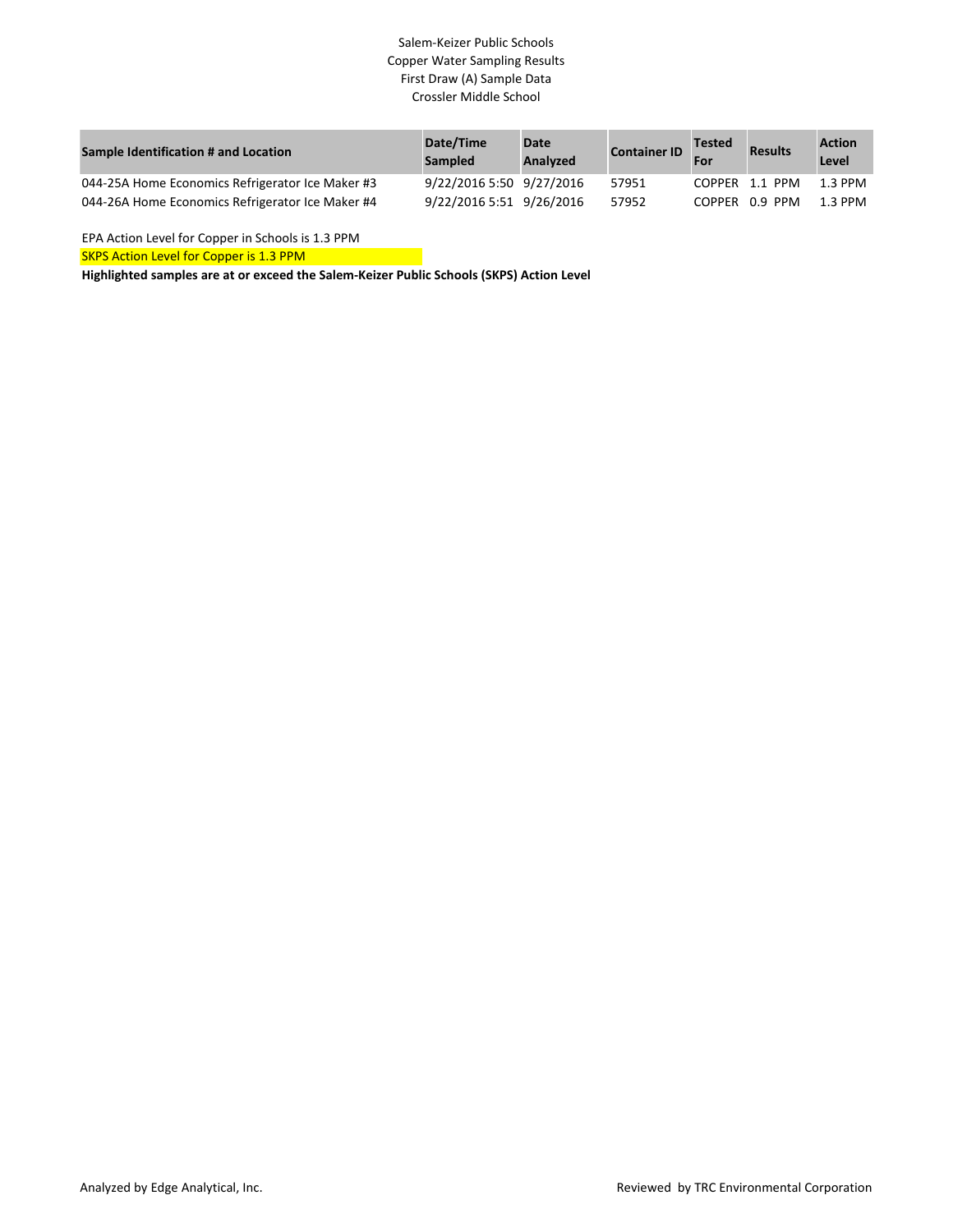# Salem-Keizer Public Schools Copper Water Sampling Results First Draw (A) Sample Data Crossler Middle School

| Sample Identification # and Location             | Date/Time<br><b>Sampled</b> | Date<br><b>Analyzed</b> | <b>Container ID</b> | <b>Tested</b><br>For | <b>Results</b> | <b>Action</b><br>Level |
|--------------------------------------------------|-----------------------------|-------------------------|---------------------|----------------------|----------------|------------------------|
| 044-25A Home Economics Refrigerator Ice Maker #3 | 9/22/2016 5:50 9/27/2016    |                         | 57951               |                      | COPPER 1.1 PPM | 1.3 PPM                |
| 044-26A Home Economics Refrigerator Ice Maker #4 | 9/22/2016 5:51 9/26/2016    |                         | 57952               |                      | COPPER 0.9 PPM | $1.3$ PPM              |

EPA Action Level for Copper in Schools is 1.3 PPM

SKPS Action Level for Copper is 1.3 PPM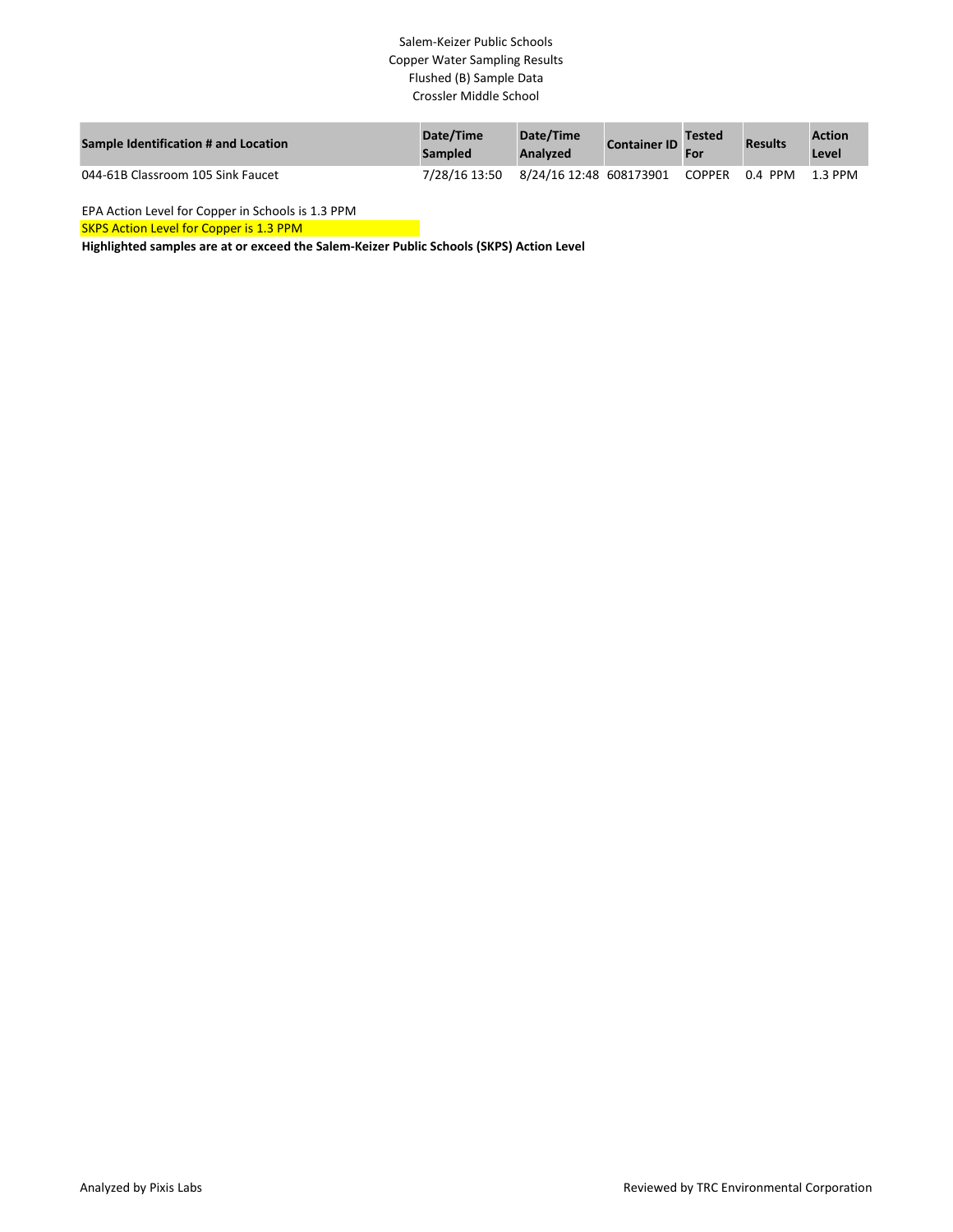# Salem-Keizer Public Schools Copper Water Sampling Results Flushed (B) Sample Data Crossler Middle School

| Sample Identification # and Location | Date/Time<br><b>Sampled</b> | Date/Time<br>Analyzed | <b>Container ID</b> | <b>Tested</b> | <b>Results</b> | <b>Action</b><br>Level |
|--------------------------------------|-----------------------------|-----------------------|---------------------|---------------|----------------|------------------------|
| 044-61B Classroom 105 Sink Faucet    | 7/28/16 13:50               |                       |                     |               |                | 1.3 PPM                |

EPA Action Level for Copper in Schools is 1.3 PPM

**SKPS Action Level for Copper is 1.3 PPM**